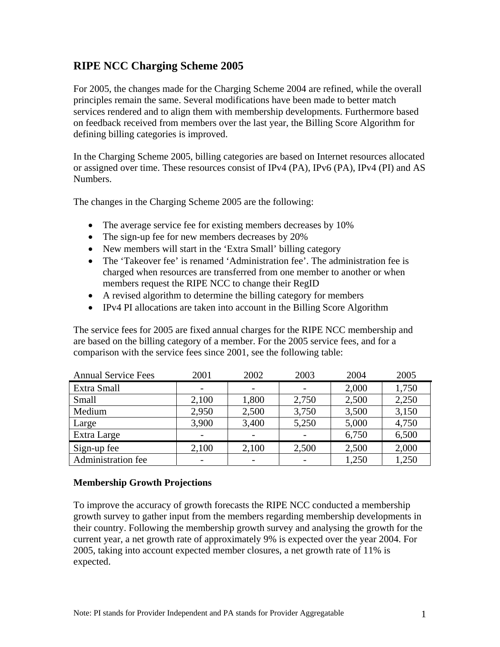# **RIPE NCC Charging Scheme 2005**

For 2005, the changes made for the Charging Scheme 2004 are refined, while the overall principles remain the same. Several modifications have been made to better match services rendered and to align them with membership developments. Furthermore based on feedback received from members over the last year, the Billing Score Algorithm for defining billing categories is improved.

In the Charging Scheme 2005, billing categories are based on Internet resources allocated or assigned over time. These resources consist of IPv4 (PA), IPv6 (PA), IPv4 (PI) and AS Numbers.

The changes in the Charging Scheme 2005 are the following:

- The average service fee for existing members decreases by 10%
- The sign-up fee for new members decreases by 20%
- New members will start in the 'Extra Small' billing category
- The 'Takeover fee' is renamed 'Administration fee'. The administration fee is charged when resources are transferred from one member to another or when members request the RIPE NCC to change their RegID
- A revised algorithm to determine the billing category for members
- IPv4 PI allocations are taken into account in the Billing Score Algorithm

The service fees for 2005 are fixed annual charges for the RIPE NCC membership and are based on the billing category of a member. For the 2005 service fees, and for a comparison with the service fees since 2001, see the following table:

| <b>Annual Service Fees</b> | 2001  | 2002  | 2003                     | 2004  | 2005  |
|----------------------------|-------|-------|--------------------------|-------|-------|
| Extra Small                |       |       | $\overline{\phantom{a}}$ | 2,000 | 1,750 |
| Small                      | 2,100 | 1,800 | 2,750                    | 2,500 | 2,250 |
| Medium                     | 2,950 | 2,500 | 3,750                    | 3,500 | 3,150 |
| Large                      | 3,900 | 3,400 | 5,250                    | 5,000 | 4,750 |
| Extra Large                |       |       |                          | 6,750 | 6,500 |
| Sign-up fee                | 2,100 | 2,100 | 2,500                    | 2,500 | 2,000 |
| <b>Administration fee</b>  |       |       |                          | 1,250 | 1,250 |

## **Membership Growth Projections**

To improve the accuracy of growth forecasts the RIPE NCC conducted a membership growth survey to gather input from the members regarding membership developments in their country. Following the membership growth survey and analysing the growth for the current year, a net growth rate of approximately 9% is expected over the year 2004. For 2005, taking into account expected member closures, a net growth rate of 11% is expected.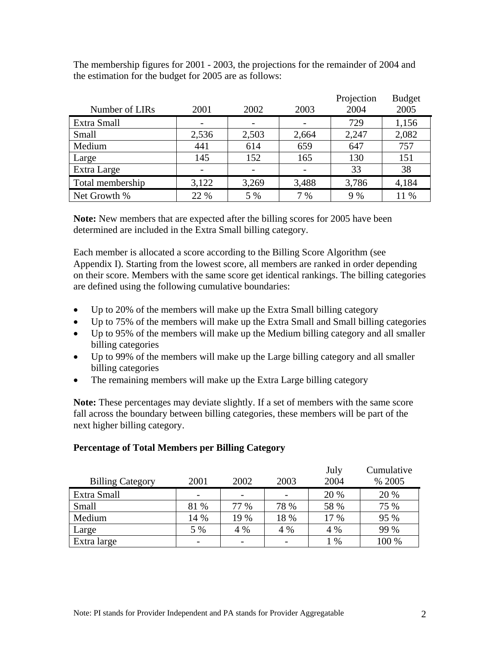|                  |       |       |       | Projection | <b>Budget</b> |
|------------------|-------|-------|-------|------------|---------------|
| Number of LIRs   | 2001  | 2002  | 2003  | 2004       | 2005          |
| Extra Small      |       |       |       | 729        | 1,156         |
| Small            | 2,536 | 2,503 | 2,664 | 2,247      | 2,082         |
| Medium           | 441   | 614   | 659   | 647        | 757           |
| Large            | 145   | 152   | 165   | 130        | 151           |
| Extra Large      |       |       |       | 33         | 38            |
| Total membership | 3,122 | 3,269 | 3,488 | 3,786      | 4,184         |
| Net Growth %     | 22 %  | 5 %   | 7%    | 9 %        | 11 %          |

The membership figures for 2001 - 2003, the projections for the remainder of 2004 and the estimation for the budget for 2005 are as follows:

**Note:** New members that are expected after the billing scores for 2005 have been determined are included in the Extra Small billing category.

Each member is allocated a score according to the Billing Score Algorithm (see Appendix I). Starting from the lowest score, all members are ranked in order depending on their score. Members with the same score get identical rankings. The billing categories are defined using the following cumulative boundaries:

- Up to 20% of the members will make up the Extra Small billing category
- Up to 75% of the members will make up the Extra Small and Small billing categories
- Up to 95% of the members will make up the Medium billing category and all smaller billing categories
- Up to 99% of the members will make up the Large billing category and all smaller billing categories
- The remaining members will make up the Extra Large billing category

**Note:** These percentages may deviate slightly. If a set of members with the same score fall across the boundary between billing categories, these members will be part of the next higher billing category.

## **Percentage of Total Members per Billing Category**

|                         |                          |      |      | July | Cumulative |
|-------------------------|--------------------------|------|------|------|------------|
| <b>Billing Category</b> | 2001                     | 2002 | 2003 | 2004 | % 2005     |
| Extra Small             | $\overline{\phantom{0}}$ |      |      | 20 % | 20 %       |
| Small                   | 81 %                     | 77 % | 78 % | 58 % | 75 %       |
| Medium                  | 14 %                     | 19 % | 18 % | 17 % | 95 %       |
| Large                   | 5 %                      | 4 %  | 4 %  | 4 %  | 99 %       |
| Extra large             |                          |      |      | $\%$ | 100 %      |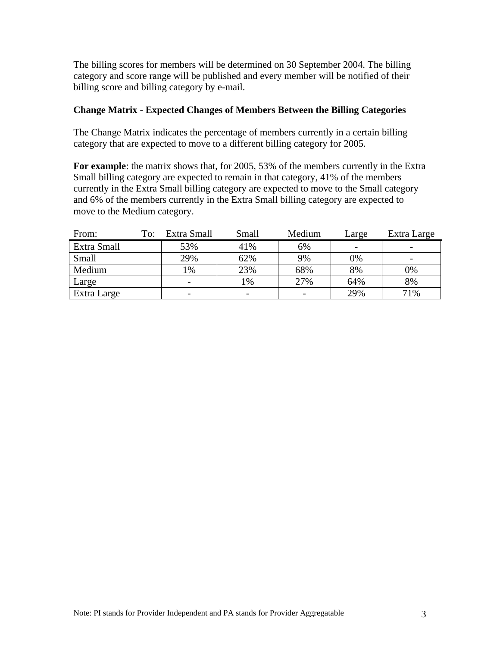The billing scores for members will be determined on 30 September 2004. The billing category and score range will be published and every member will be notified of their billing score and billing category by e-mail.

#### **Change Matrix - Expected Changes of Members Between the Billing Categories**

The Change Matrix indicates the percentage of members currently in a certain billing category that are expected to move to a different billing category for 2005.

**For example**: the matrix shows that, for 2005, 53% of the members currently in the Extra Small billing category are expected to remain in that category, 41% of the members currently in the Extra Small billing category are expected to move to the Small category and 6% of the members currently in the Extra Small billing category are expected to move to the Medium category.

| From:       | To: | Extra Small | Small         | Medium | Large                    | Extra Large                  |
|-------------|-----|-------------|---------------|--------|--------------------------|------------------------------|
| Extra Small |     | 53%         | 41%           | 6%     | $\overline{\phantom{a}}$ | $\qquad \qquad \blacksquare$ |
| Small       |     | 29%         | 62%           | 9%     | 0%                       | $\overline{\phantom{a}}$     |
| Medium      |     | $1\%$       | 23%           | 68%    | 8%                       | 0%                           |
| Large       |     | -           | $\frac{0}{6}$ | 27%    | 64%                      | 8%                           |
| Extra Large |     | -           |               |        | 29%                      | 71%                          |